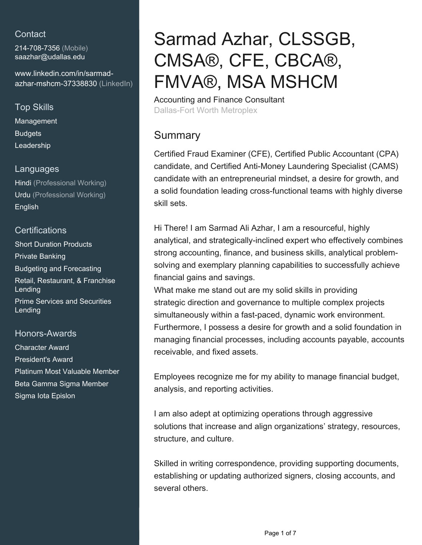# **Contact**

214-708-7356 (Mobile) [saazhar@udallas.edu](mailto:saazhar@udallas.edu)

[www.linkedin.com/in/sarmad](https://www.linkedin.com/in/sarmad-azhar-mshcm-37338830?jobid=1234&lipi=urn%3Ali%3Apage%3Ad_jobs_easyapply_pdfgenresume%3BBk1LZECURRSKoBuqVmK9xQ%3D%3D&licu=urn%3Ali%3Acontrol%3Ad_jobs_easyapply_pdfgenresume-v02_profile)[azhar-mshcm-37338830 \(LinkedIn\)](https://www.linkedin.com/in/sarmad-azhar-mshcm-37338830?jobid=1234&lipi=urn%3Ali%3Apage%3Ad_jobs_easyapply_pdfgenresume%3BBk1LZECURRSKoBuqVmK9xQ%3D%3D&licu=urn%3Ali%3Acontrol%3Ad_jobs_easyapply_pdfgenresume-v02_profile)

# Top Skills

Management **Budgets** Leadership

#### Languages

Hindi (Professional Working) Urdu (Professional Working) English

## **Certifications**

Short Duration Products Private Banking Budgeting and Forecasting Retail, Restaurant, & Franchise Lending Prime Services and Securities Lending

## Honors-Awards

Character Award President's Award Platinum Most Valuable Member Beta Gamma Sigma Member Sigma Iota Epislon

# Sarmad Azhar, CLSSGB, CMSA®, CFE, CBCA®, FMVA®, MSA MSHCM

Accounting and Finance Consultant Dallas-Fort Worth Metroplex

# Summary

Certified Fraud Examiner (CFE), Certified Public Accountant (CPA) candidate, and Certified Anti-Money Laundering Specialist (CAMS) candidate with an entrepreneurial mindset, a desire for growth, and a solid foundation leading cross-functional teams with highly diverse skill sets.

Hi There! I am Sarmad Ali Azhar, I am a resourceful, highly analytical, and strategically-inclined expert who effectively combines strong accounting, finance, and business skills, analytical problemsolving and exemplary planning capabilities to successfully achieve financial gains and savings.

What make me stand out are my solid skills in providing strategic direction and governance to multiple complex projects simultaneously within a fast-paced, dynamic work environment. Furthermore, I possess a desire for growth and a solid foundation in managing financial processes, including accounts payable, accounts receivable, and fixed assets.

Employees recognize me for my ability to manage financial budget, analysis, and reporting activities.

I am also adept at optimizing operations through aggressive solutions that increase and align organizations' strategy, resources, structure, and culture.

Skilled in writing correspondence, providing supporting documents, establishing or updating authorized signers, closing accounts, and several others.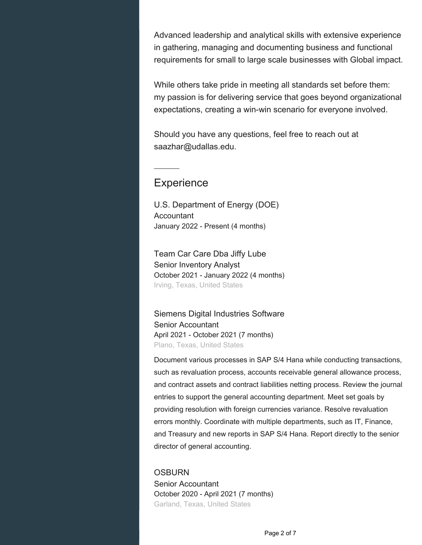Advanced leadership and analytical skills with extensive experience in gathering, managing and documenting business and functional requirements for small to large scale businesses with Global impact.

While others take pride in meeting all standards set before them: my passion is for delivering service that goes beyond organizational expectations, creating a win-win scenario for everyone involved.

Should you have any questions, feel free to reach out at saazhar@udallas.edu.

# **Experience**

U.S. Department of Energy (DOE) Accountant January 2022 - Present (4 months)

Team Car Care Dba Jiffy Lube Senior Inventory Analyst October 2021 - January 2022 (4 months) Irving, Texas, United States

Siemens Digital Industries Software Senior Accountant April 2021 - October 2021 (7 months) Plano, Texas, United States

Document various processes in SAP S/4 Hana while conducting transactions, such as revaluation process, accounts receivable general allowance process, and contract assets and contract liabilities netting process. Review the journal entries to support the general accounting department. Meet set goals by providing resolution with foreign currencies variance. Resolve revaluation errors monthly. Coordinate with multiple departments, such as IT, Finance, and Treasury and new reports in SAP S/4 Hana. Report directly to the senior director of general accounting.

**OSBURN** Senior Accountant October 2020 - April 2021 (7 months) Garland, Texas, United States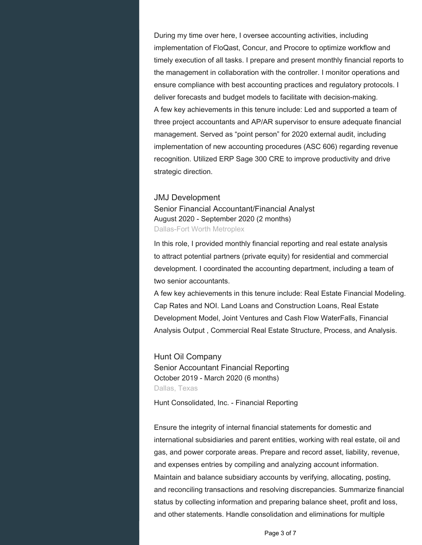During my time over here, I oversee accounting activities, including implementation of FloQast, Concur, and Procore to optimize workflow and timely execution of all tasks. I prepare and present monthly financial reports to the management in collaboration with the controller. I monitor operations and ensure compliance with best accounting practices and regulatory protocols. I deliver forecasts and budget models to facilitate with decision-making. A few key achievements in this tenure include: Led and supported a team of three project accountants and AP/AR supervisor to ensure adequate financial management. Served as "point person" for 2020 external audit, including implementation of new accounting procedures (ASC 606) regarding revenue recognition. Utilized ERP Sage 300 CRE to improve productivity and drive strategic direction.

#### JMJ Development

Senior Financial Accountant/Financial Analyst August 2020 - September 2020 (2 months) Dallas-Fort Worth Metroplex

In this role, I provided monthly financial reporting and real estate analysis to attract potential partners (private equity) for residential and commercial development. I coordinated the accounting department, including a team of two senior accountants.

A few key achievements in this tenure include: Real Estate Financial Modeling. Cap Rates and NOI. Land Loans and Construction Loans, Real Estate Development Model, Joint Ventures and Cash Flow WaterFalls, Financial Analysis Output , Commercial Real Estate Structure, Process, and Analysis.

Hunt Oil Company Senior Accountant Financial Reporting October 2019 - March 2020 (6 months) Dallas, Texas

Hunt Consolidated, Inc. - Financial Reporting

Ensure the integrity of internal financial statements for domestic and international subsidiaries and parent entities, working with real estate, oil and gas, and power corporate areas. Prepare and record asset, liability, revenue, and expenses entries by compiling and analyzing account information. Maintain and balance subsidiary accounts by verifying, allocating, posting, and reconciling transactions and resolving discrepancies. Summarize financial status by collecting information and preparing balance sheet, profit and loss, and other statements. Handle consolidation and eliminations for multiple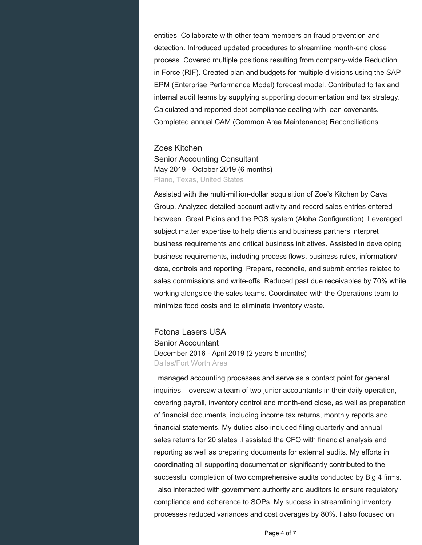entities. Collaborate with other team members on fraud prevention and detection. Introduced updated procedures to streamline month-end close process. Covered multiple positions resulting from company-wide Reduction in Force (RIF). Created plan and budgets for multiple divisions using the SAP EPM (Enterprise Performance Model) forecast model. Contributed to tax and internal audit teams by supplying supporting documentation and tax strategy. Calculated and reported debt compliance dealing with loan covenants. Completed annual CAM (Common Area Maintenance) Reconciliations.

#### Zoes Kitchen

Senior Accounting Consultant May 2019 - October 2019 (6 months) Plano, Texas, United States

Assisted with the multi-million-dollar acquisition of Zoe's Kitchen by Cava Group. Analyzed detailed account activity and record sales entries entered between Great Plains and the POS system (Aloha Configuration). Leveraged subject matter expertise to help clients and business partners interpret business requirements and critical business initiatives. Assisted in developing business requirements, including process flows, business rules, information/ data, controls and reporting. Prepare, reconcile, and submit entries related to sales commissions and write-offs. Reduced past due receivables by 70% while working alongside the sales teams. Coordinated with the Operations team to minimize food costs and to eliminate inventory waste.

Fotona Lasers USA Senior Accountant December 2016 - April 2019 (2 years 5 months) Dallas/Fort Worth Area

I managed accounting processes and serve as a contact point for general inquiries. I oversaw a team of two junior accountants in their daily operation, covering payroll, inventory control and month-end close, as well as preparation of financial documents, including income tax returns, monthly reports and financial statements. My duties also included filing quarterly and annual sales returns for 20 states .I assisted the CFO with financial analysis and reporting as well as preparing documents for external audits. My efforts in coordinating all supporting documentation significantly contributed to the successful completion of two comprehensive audits conducted by Big 4 firms. I also interacted with government authority and auditors to ensure regulatory compliance and adherence to SOPs. My success in streamlining inventory processes reduced variances and cost overages by 80%. I also focused on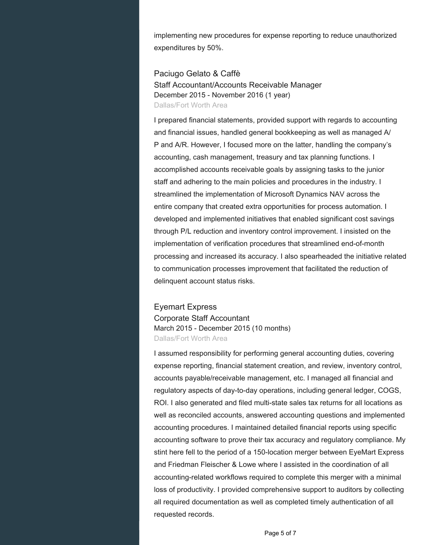implementing new procedures for expense reporting to reduce unauthorized expenditures by 50%.

Paciugo Gelato & Caffè Staff Accountant/Accounts Receivable Manager December 2015 - November 2016 (1 year) Dallas/Fort Worth Area

I prepared financial statements, provided support with regards to accounting and financial issues, handled general bookkeeping as well as managed A/ P and A/R. However, I focused more on the latter, handling the company's accounting, cash management, treasury and tax planning functions. I accomplished accounts receivable goals by assigning tasks to the junior staff and adhering to the main policies and procedures in the industry. I streamlined the implementation of Microsoft Dynamics NAV across the entire company that created extra opportunities for process automation. I developed and implemented initiatives that enabled significant cost savings through P/L reduction and inventory control improvement. I insisted on the implementation of verification procedures that streamlined end-of-month processing and increased its accuracy. I also spearheaded the initiative related to communication processes improvement that facilitated the reduction of delinquent account status risks.

Eyemart Express Corporate Staff Accountant March 2015 - December 2015 (10 months) Dallas/Fort Worth Area

I assumed responsibility for performing general accounting duties, covering expense reporting, financial statement creation, and review, inventory control, accounts payable/receivable management, etc. I managed all financial and regulatory aspects of day-to-day operations, including general ledger, COGS, ROI. I also generated and filed multi-state sales tax returns for all locations as well as reconciled accounts, answered accounting questions and implemented accounting procedures. I maintained detailed financial reports using specific accounting software to prove their tax accuracy and regulatory compliance. My stint here fell to the period of a 150-location merger between EyeMart Express and Friedman Fleischer & Lowe where I assisted in the coordination of all accounting-related workflows required to complete this merger with a minimal loss of productivity. I provided comprehensive support to auditors by collecting all required documentation as well as completed timely authentication of all requested records.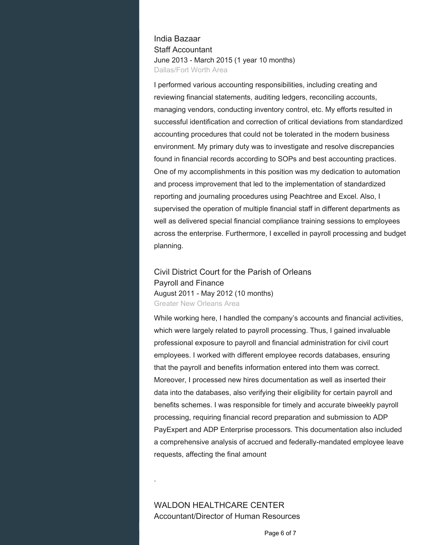### India Bazaar Staff Accountant June 2013 - March 2015 (1 year 10 months) Dallas/Fort Worth Area

I performed various accounting responsibilities, including creating and reviewing financial statements, auditing ledgers, reconciling accounts, managing vendors, conducting inventory control, etc. My efforts resulted in successful identification and correction of critical deviations from standardized accounting procedures that could not be tolerated in the modern business environment. My primary duty was to investigate and resolve discrepancies found in financial records according to SOPs and best accounting practices. One of my accomplishments in this position was my dedication to automation and process improvement that led to the implementation of standardized reporting and journaling procedures using Peachtree and Excel. Also, I supervised the operation of multiple financial staff in different departments as well as delivered special financial compliance training sessions to employees across the enterprise. Furthermore, I excelled in payroll processing and budget planning.

#### Civil District Court for the Parish of Orleans Payroll and Finance August 2011 - May 2012 (10 months) Greater New Orleans Area

While working here, I handled the company's accounts and financial activities, which were largely related to payroll processing. Thus, I gained invaluable professional exposure to payroll and financial administration for civil court employees. I worked with different employee records databases, ensuring that the payroll and benefits information entered into them was correct. Moreover, I processed new hires documentation as well as inserted their data into the databases, also verifying their eligibility for certain payroll and benefits schemes. I was responsible for timely and accurate biweekly payroll processing, requiring financial record preparation and submission to ADP PayExpert and ADP Enterprise processors. This documentation also included a comprehensive analysis of accrued and federally-mandated employee leave requests, affecting the final amount

.